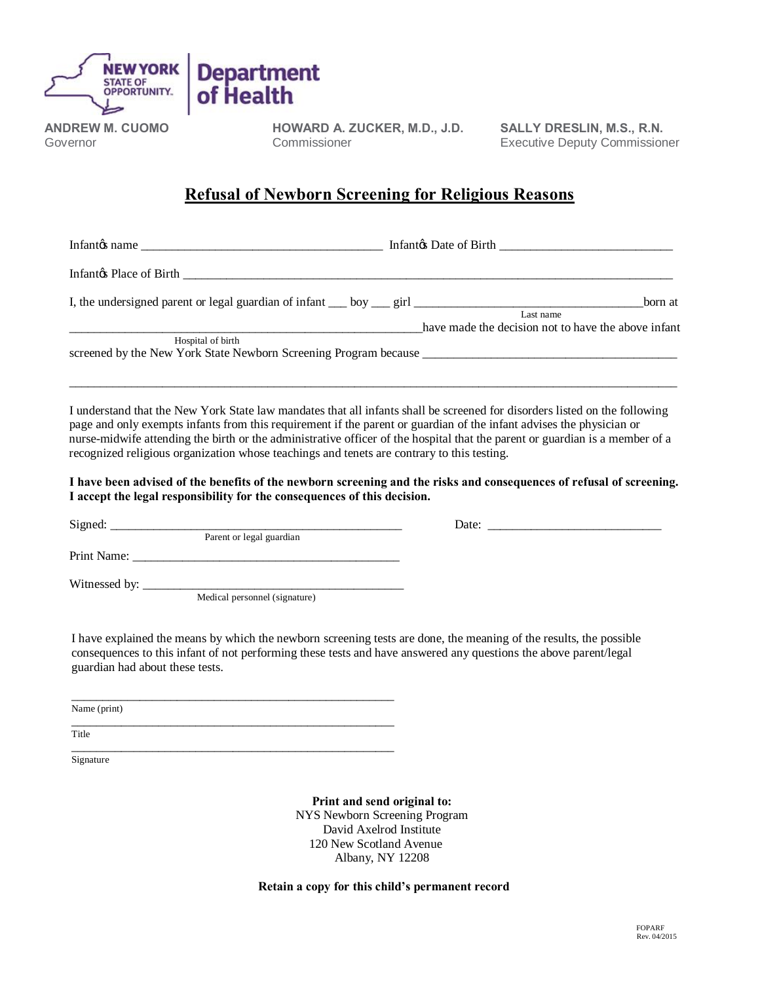

**ANDREW M. CUOMO** Governor

**HOWARD A. ZUCKER, M.D., J.D.** Commissioner

**SALLY DRESLIN, M.S., R.N.** Executive Deputy Commissioner

## **Refusal of Newborn Screening for Religious Reasons**

Infantos name **and a contract of the set of Birth**  $\frac{1}{2}$  Infantos Date of Birth  $\frac{1}{2}$ 

Infant's Place of Birth \_\_\_\_\_\_\_\_\_\_\_\_\_\_\_\_\_\_\_\_\_\_\_\_\_\_\_\_\_\_\_\_\_\_\_\_\_\_\_\_\_\_\_\_\_\_\_\_\_\_\_\_\_\_\_\_\_\_\_\_\_\_\_\_\_\_\_\_\_\_\_\_\_\_\_\_\_\_\_

I, the undersigned parent or legal guardian of infant \_\_\_ boy \_\_\_ girl \_\_\_\_\_\_\_\_\_\_\_\_\_\_\_\_\_\_\_\_\_\_\_\_\_\_\_\_\_\_\_\_\_\_\_\_\_born at Last name

have made the decision not to have the above infant Hospital of birth screened by the New York State Newborn Screening Program because

 I understand that the New York State law mandates that all infants shall be screened for disorders listed on the following page and only exempts infants from this requirement if the parent or guardian of the infant advises the physician or nurse-midwife attending the birth or the administrative officer of the hospital that the parent or guardian is a member of a recognized religious organization whose teachings and tenets are contrary to this testing.

 $\mathcal{L}_\text{max}$  , and the set of the set of the set of the set of the set of the set of the set of the set of the set of the set of the set of the set of the set of the set of the set of the set of the set of the set of the

 **I have been advised of the benefits of the newborn screening and the risks and consequences of refusal of screening. I accept the legal responsibility for the consequences of this decision.**

 Signed: \_\_\_\_\_\_\_\_\_\_\_\_\_\_\_\_\_\_\_\_\_\_\_\_\_\_\_\_\_\_\_\_\_\_\_\_\_\_\_\_\_\_\_\_\_\_\_ Date: \_\_\_\_\_\_\_\_\_\_\_\_\_\_\_\_\_\_\_\_\_\_\_\_\_\_\_\_ Parent or legal guardian Print Name: Witnessed by: \_\_\_\_\_\_\_\_\_\_\_\_\_\_\_\_\_\_\_\_\_\_\_\_\_\_\_\_\_\_\_\_\_\_\_\_\_\_\_\_\_\_ Medical personnel (signature)

I have explained the means by which the newborn screening tests are done, the meaning of the results, the possible consequences to this infant of not performing these tests and have answered any questions the above parent/legal guardian had about these tests.

 $\overline{\phantom{a}}$  ,  $\overline{\phantom{a}}$  ,  $\overline{\phantom{a}}$  ,  $\overline{\phantom{a}}$  ,  $\overline{\phantom{a}}$  ,  $\overline{\phantom{a}}$  ,  $\overline{\phantom{a}}$  ,  $\overline{\phantom{a}}$  ,  $\overline{\phantom{a}}$  ,  $\overline{\phantom{a}}$  ,  $\overline{\phantom{a}}$  ,  $\overline{\phantom{a}}$  ,  $\overline{\phantom{a}}$  ,  $\overline{\phantom{a}}$  ,  $\overline{\phantom{a}}$  ,  $\overline{\phantom{a}}$ Name (print)

\_\_\_\_\_\_\_\_\_\_\_\_\_\_\_\_\_\_\_\_\_\_\_\_\_\_\_\_\_\_\_\_\_\_\_\_\_\_\_\_\_\_\_\_\_\_\_\_\_\_\_\_ Title

\_\_\_\_\_\_\_\_\_\_\_\_\_\_\_\_\_\_\_\_\_\_\_\_\_\_\_\_\_\_\_\_\_\_\_\_\_\_\_\_\_\_\_\_\_\_\_\_\_\_\_\_ Signature

> **Print and send original to:** NYS Newborn Screening Program David Axelrod Institute 120 New Scotland Avenue Albany, NY 12208

**Retain a copy for this child's permanent record**